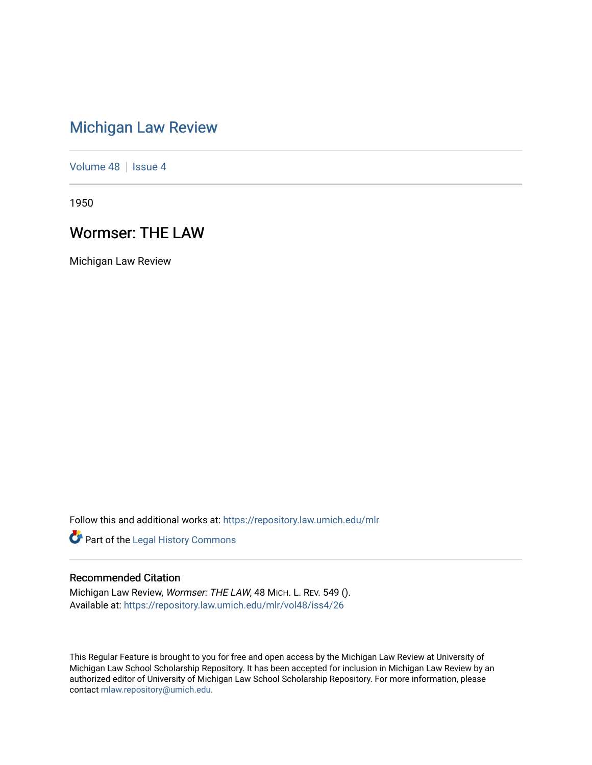## [Michigan Law Review](https://repository.law.umich.edu/mlr)

[Volume 48](https://repository.law.umich.edu/mlr/vol48) | [Issue 4](https://repository.law.umich.edu/mlr/vol48/iss4)

1950

## Wormser: THE LAW

Michigan Law Review

Follow this and additional works at: [https://repository.law.umich.edu/mlr](https://repository.law.umich.edu/mlr?utm_source=repository.law.umich.edu%2Fmlr%2Fvol48%2Fiss4%2F26&utm_medium=PDF&utm_campaign=PDFCoverPages) 

Part of the [Legal History Commons](http://network.bepress.com/hgg/discipline/904?utm_source=repository.law.umich.edu%2Fmlr%2Fvol48%2Fiss4%2F26&utm_medium=PDF&utm_campaign=PDFCoverPages)

## Recommended Citation

Michigan Law Review, Wormser: THE LAW, 48 MICH. L. REV. 549 (). Available at: [https://repository.law.umich.edu/mlr/vol48/iss4/26](https://repository.law.umich.edu/mlr/vol48/iss4/26?utm_source=repository.law.umich.edu%2Fmlr%2Fvol48%2Fiss4%2F26&utm_medium=PDF&utm_campaign=PDFCoverPages) 

This Regular Feature is brought to you for free and open access by the Michigan Law Review at University of Michigan Law School Scholarship Repository. It has been accepted for inclusion in Michigan Law Review by an authorized editor of University of Michigan Law School Scholarship Repository. For more information, please contact [mlaw.repository@umich.edu](mailto:mlaw.repository@umich.edu).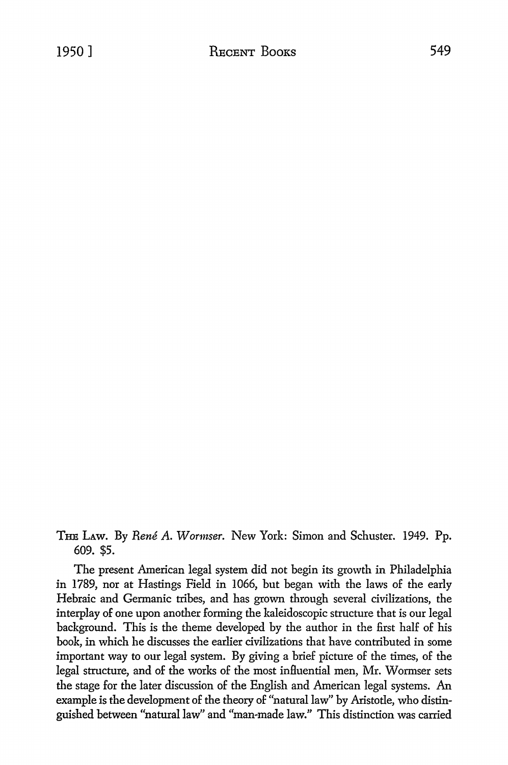THE LAw. By *Rene* A. *Worniser.* New York: Simon and Schuster. 1949. Pp. 609. \$5.

The present American legal system did not begin its growth in Philadelphia in 1789, nor at Hastings Field in 1066, but began with the laws of the early Hebraic and Germanic tribes, and has grown through several civilizations, the interplay of one upon another forming the kaleidoscopic structure that is our legal background. This is the theme developed by the author in the first half of his book, in which he discusses the earlier civilizations that have contributed in some important way to our legal system. By giving a brief picture of the times, of the legal structure, and of the works of the most influential men, Mr. Wormser sets the stage for the later discussion of the English and American legal systems. An example is the development of the theory of "natural law" by Aristotle, who distinguished between "natural law" and "man-made law." This distinction was carried